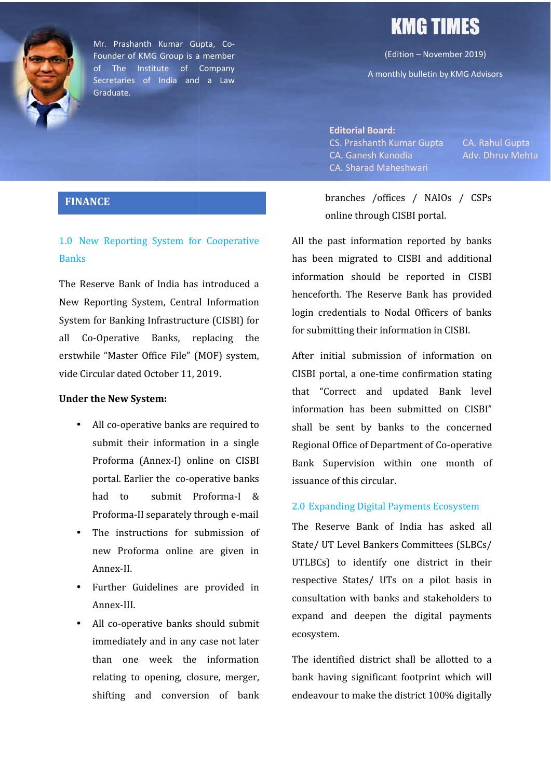

Mr. Prashanth Kumar Gupta, Co- Founder of KMG Group is a member of The Institute of Company Secretaries of India and a Law Graduate. Mr. Prashanth Kumar Gupta, Co-<br>
Founder of KMG Group is a member<br>
of The Institute of Company<br>
Secretaries of India and a Law A monthly bulletin by KMG Advisors

# KMG TIMES

(Edition – November 2019)

A monthly bulletin by KMG Advisors

**Editorial Board:** CS. Prashanth Kumar Gupta CA. Rahul Gupta<br>CA. Ganesh Kanodia Adv. Dhruv Mehta CA. Ganesh Kanodia Adv. Dhruv Mehta CA. Sharad Maheshwari CA. Sharad Maheshwari

#### **FINANCE**

## 1.0 New Reporting System for Cooperative **Banks** 1.0 New Reporting System for Cooperative<br>
Banks<br>
The Reserve Bank of India has introduced a

New Reporting System, Central Information System for Banking Infrastructure (CISBI) for all Co-Operative Banks, replacing the erstwhile "Master Office File" (MOF) system, vide Circular dated October 11, 2019. Reporting System, Central Information<br>m for Banking Infrastructure (CISBI) for<br>Co-Operative Banks, replacing the

#### **Under the New System:**

- All co-operative banks are required to submit their information in a single Proforma (Annex-I) online on CISBI portal. Earlier the co-operative banks had to submit Proforma-I & Proforma-II separately through e-mail Circular dated October 11, 2019.<br>
er the New System:<br>
All co-operative banks are required to<br>
submit their information in a single<br>
Proforma (Annex-I) online on CISBI<br>
portal. Earlier the co-operative banks<br>
had to submit
- The instructions for submission of new Proforma online are given in Annex-II.
- Further Guidelines are provided in Annex-III.
- All co-operative banks should submit immediately and in any case not later than one week the information the Th relating to opening, closure, merger, shifting and conversion of bank

branches /offices / NAIOs / CSPs online through CISBI portal.

All the past information reported by banks has been migrated to CISBI and additional information should be reported in CISBI henceforth. The Reserve Bank has provided login credentials to Nodal Officers of banks for submitting their information in CISBI. branches /offices / NAIOs / CSPs<br>online through CISBI portal.<br>e past information reported by banks<br>een migrated to CISBI and additional<br>nation should be reported in CISBI<br>forth. The Reserve Bank has provided<br>credentials to

After initial submission of information on CISBI portal, a one-time confirmation stating that "Correct and updated Bank level information has been submitted on CISBI" shall be sent by banks to the concerned Regional Office of Department of Co-operative Bank Supervision within one month of issuance of this circular. "Correct and updated<br>hation has been submitt<br>be sent by banks to t<br>hal Office of Department o CS. Prashanth Kumar Gupta<br>
CA. Ganesh Kanodia<br>
CA. Sharad Maheshwari<br>
branches /offices / NAIOs / CSPs<br>
online through CISBI portal.<br>
e past information reported by banks<br>
een migrated to CISBI and additional<br>
antion shou

#### 2.0 Expanding Digital Payments Ecosystem

The Reserve Bank of India has asked all State/ UT Level Bankers Committees (SLBCs/ UTLBCs) to identify one district in their respective States/ UTs on a pilot basis in consultation with banks and stakeholders to expand and deepen the digital payments ecosystem.

The identified district shall be allotted to a bank having significant footprint which will endeavour to make the district 100% digitally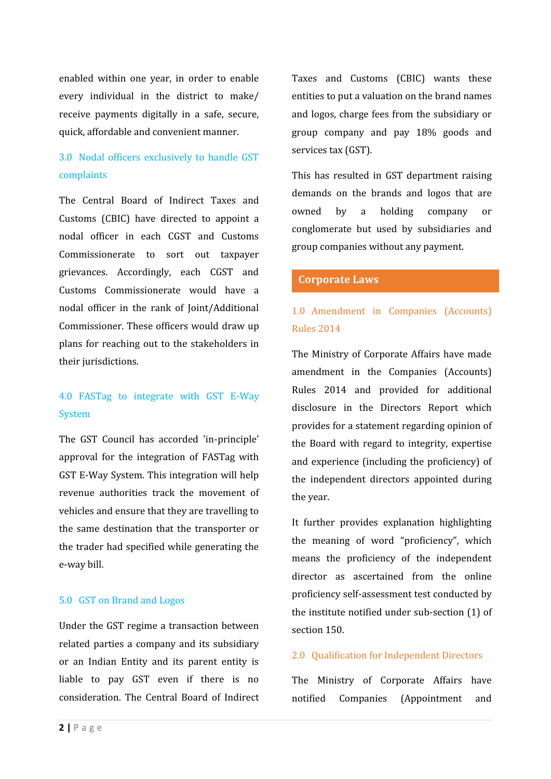enabled within one year, in order to enable every individual in the district to make/ receive payments digitally in a safe, secure, quick, affordable and convenient manner.

### 3.0 Nodal officers exclusively to handle GST complaints

The Central Board of Indirect Taxes and<br>owned Customs (CBIC) have directed to appoint a nodal officer in each CGST and Customs Commissionerate to sort out taxpayer grievances. Accordingly, each CGST and Customs Commissionerate would have a nodal officer in the rank of Joint/Additional Commissioner. These officers would draw up plans for reaching out to the stakeholders in their jurisdictions.

### 4.0 FASTag to integrate with GST E-Way System

The GST Council has accorded 'in-principle' approval for the integration of FASTag with GST E-Way System. This integration will help revenue authorities track the movement of vehicles and ensure that they are travelling to the same destination that the transporter or the trader had specified while generating the e-way bill.

#### 5.0 GST on Brand and Logos

**2 liable to pay GST even**<br>**2 |** P a g e Under the GST regime a transaction between related parties a company and its subsidiary or an Indian Entity and its parent entity is liable to pay GST even if there is no consideration. The Central Board of Indirect

Taxes and Customs (CBIC) wants these entities to put a valuation on the brand names and logos, charge fees from the subsidiary or group company and pay 18% goods and services tax (GST).

This has resulted in GST department raising demands on the brands and logos that are by a holding company or conglomerate but used by subsidiaries and group companies without any payment.

#### **Corporate Laws**

### 1.0 Amendment in Companies (Accounts) Rules 2014

The Ministry of Corporate Affairs have made amendment in the Companies (Accounts) Rules 2014 and provided for additional disclosure in the Directors Report which provides for a statement regarding opinion of the Board with regard to integrity, expertise and experience (including the proficiency) of the independent directors appointed during the year.

It further provides explanation highlighting the meaning of word "proficiency", which means the proficiency of the independent director as ascertained from the online proficiency self-assessment test conducted by the institute notified under sub-section (1) of section 150.

#### 2.0 Qualification for Independent Directors

The Ministry of Corporate Affairs have notified Companies (Appointment and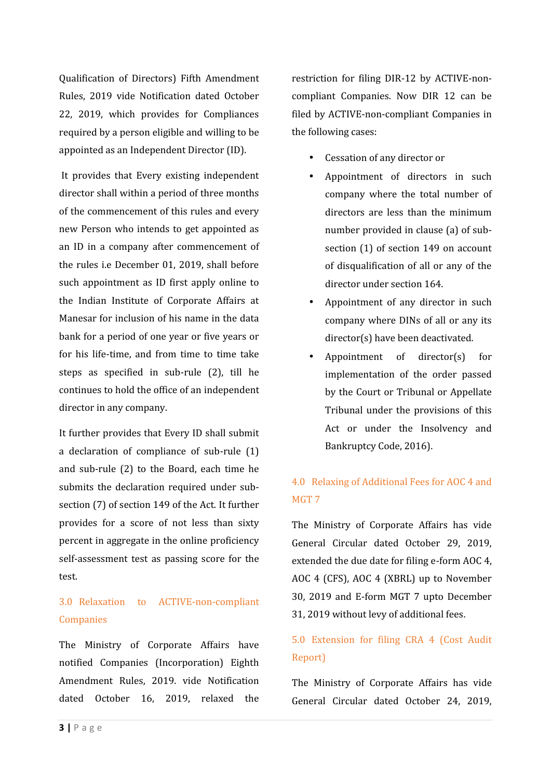Qualification of Directors) Fifth Amendment Rules, 2019 vide Notification dated October 22, 2019, which provides for Compliances required by a person eligible and willing to be appointed as an Independent Director (ID).

It provides that Every existing independent director shall within a period of three months of the commencement of this rules and every new Person who intends to get appointed as an ID in a company after commencement of the rules i.e December 01, 2019, shall before such appointment as ID first apply online to the Indian Institute of Corporate Affairs at Manesar for inclusion of his name in the data bank for a period of one year or five years or for his life-time, and from time to time take steps as specified in sub-rule (2), till he continues to hold the office of an independent director in any company.

It further provides that Every ID shall submit a declaration of compliance of sub-rule (1) and sub-rule (2) to the Board, each time he submits the declaration required under sub section (7) of section 149 of the Act. It further provides for a score of not less than sixty percent in aggregate in the online proficiency self-assessment test as passing score for the test.

### 3.0 Relaxation to ACTIVE-non-compliant Companies

Amendment Rules, 2019.<br>dated October 16, 201<br>**3** | P a g e The Ministry of Corporate Affairs have notified Companies (Incorporation) Eighth Amendment Rules, 2019. vide Notification dated October 16, 2019, relaxed the

restriction for filing DIR-12 by ACTIVE-non compliant Companies. Now DIR 12 can be filed by ACTIVE-non-compliant Companies in the following cases:

- Cessation of any director or
- Appointment of directors in such company where the total number of directors are less than the minimum number provided in clause (a) of sub section (1) of section 149 on account of disqualification of all or any of the director under section 164.
- Appointment of any director in such company where DINs of all or any its director(s) have been deactivated.
- Appointment of director(s) for implementation of the order passed by the Court or Tribunal or Appellate Tribunal under the provisions of this Act or under the Insolvency and Bankruptcy Code, 2016).

### 4.0 Relaxing of Additional Fees for AOC 4 and MGT 7

The Ministry of Corporate Affairs has vide General Circular dated October 29, 2019, extended the due date for filing e-form AOC 4, AOC 4 (CFS), AOC 4 (XBRL) up to November 30, 2019 and E-form MGT 7 upto December 31, 2019 without levy of additional fees.

### 5.0 Extension for filing CRA 4 (Cost Audit Report)

The Ministry of Corporate Affairs has vide General Circular dated October 24, 2019,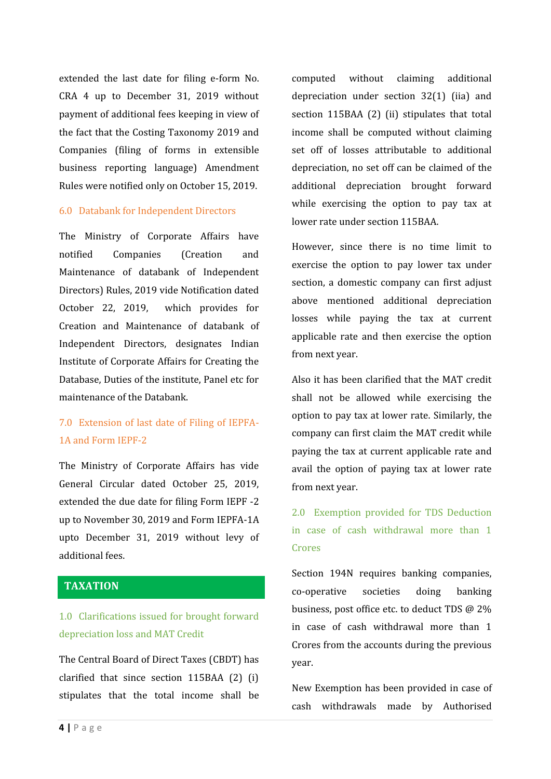extended the last date for filing e-form No. CRA 4 up to December 31, 2019 without payment of additional fees keeping in view of the fact that the Costing Taxonomy 2019 and Companies (filing of forms in extensible business reporting language) Amendment Rules were notified only on October 15, 2019.

#### 6.0 Databank for Independent Directors

The Ministry of Corporate Affairs have notified Companies (Creation and Maintenance of databank of Independent Directors) Rules, 2019 vide Notification dated October 22, 2019, which provides for Creation and Maintenance of databank of Independent Directors, designates Indian Institute of Corporate Affairs for Creating the Database, Duties of the institute, Panel etc for maintenance of the Databank.

### 7.0 Extension of last date of Filing of IEPFA- 1A and Form IEPF-2

The Ministry of Corporate Affairs has vide General Circular dated October 25, 2019, extended the due date for filing Form IEPF -2 up to November 30, 2019 and Form IEPFA-1A upto December 31, 2019 without levy of additional fees.

#### **TAXATION**

### 1.0 Clarifications issued for brought forward depreciation loss and MAT Credit

**clarified that since section**<br>**4 |** P a g e The Central Board of Direct Taxes (CBDT) has clarified that since section 115BAA (2) (i) stipulates that the total income shall be

computed without claiming additional depreciation under section 32(1) (iia) and section 115BAA (2) (ii) stipulates that total income shall be computed without claiming set off of losses attributable to additional depreciation, no set off can be claimed of the additional depreciation brought forward while exercising the option to pay tax at lower rate under section 115BAA.

However, since there is no time limit to exercise the option to pay lower tax under section, a domestic company can first adjust above mentioned additional depreciation losses while paying the tax at current applicable rate and then exercise the option from next year.

Also it has been clarified that the MAT credit shall not be allowed while exercising the option to pay tax at lower rate. Similarly, the company can first claim the MAT credit while paying the tax at current applicable rate and avail the option of paying tax at lower rate from next year.

2.0 Exemption provided for TDS Deduction in case of cash withdrawal more than 1 Crores

Section 194N requires banking companies, co-operative societies doing banking business, post office etc. to deduct TDS @ 2% in case of cash withdrawal more than 1 Crores from the accounts during the previous year.

New Exemption has been provided in case of cash withdrawals made by Authorised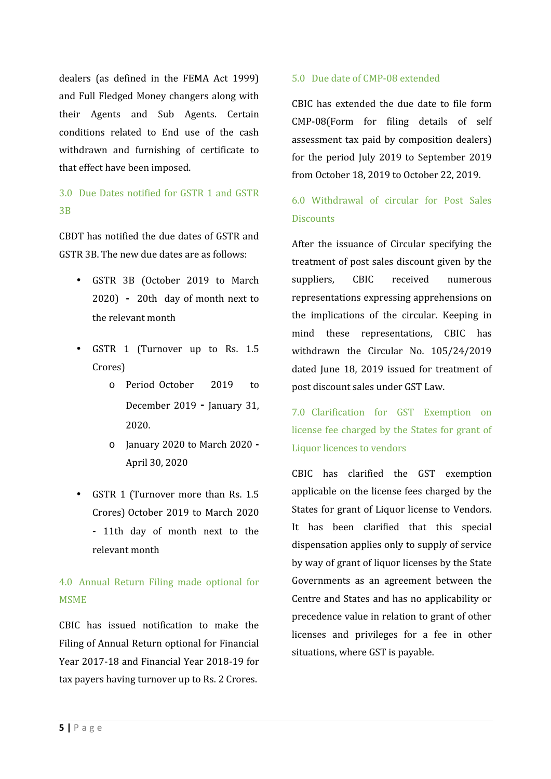dealers (as defined in the FEMA Act 1999) and Full Fledged Money changers along with their Agents and Sub Agents. Certain conditions related to End use of the cash withdrawn and furnishing of certificate to that effect have been imposed.

### 3.0 Due Dates notified for GSTR 1 and GSTR 3B

CBDT has notified the due dates of GSTR and GSTR 3B. The new due dates are as follows:

- GSTR 3B (October 2019 to March 2020) **-** 20th day of month next to the relevant month
- GSTR 1 (Turnover up to Rs. 1.5 Crores)
	- o Period October 2019 to December 2019 **-** January 31, 2020.
	- o January 2020 to March 2020 **-** April 30, 2020
- GSTR 1 (Turnover more than Rs. 1.5 Crores) October 2019 to March 2020 **-** 11th day of month next to the relevant month

### 4.0 Annual Return Filing made optional for MSME

**tax payers having turnover u<br><b>5 |** P a g e CBIC has issued notification to make the Filing of Annual Return optional for Financial Year 2017-18 and Financial Year 2018-19 for tax payers having turnover up to Rs. 2 Crores.

#### 5.0 Due date of CMP-08 extended

CBIC has extended the due date to file form CMP-08(Form for filing details of self assessment tax paid by composition dealers) for the period July 2019 to September 2019 from October 18, 2019 to October 22, 2019.

### 6.0 Withdrawal of circular for Post Sales **Discounts**

After the issuance of Circular specifying the treatment of post sales discount given by the suppliers, CBIC received numerous representations expressing apprehensions on the implications of the circular. Keeping in mind these representations, CBIC has withdrawn the Circular No. 105/24/2019 dated June 18, 2019 issued for treatment of post discount sales under GST Law.

7.0 Clarification for GST Exemption on license fee charged by the States for grant of Liquor licences to vendors

CBIC has clarified the GST exemption applicable on the license fees charged by the States for grant of Liquor license to Vendors. It has been clarified that this special dispensation applies only to supply of service by way of grant of liquor licenses by the State Governments as an agreement between the Centre and States and has no applicability or precedence value in relation to grant of other licenses and privileges for a fee in other situations, where GST is payable.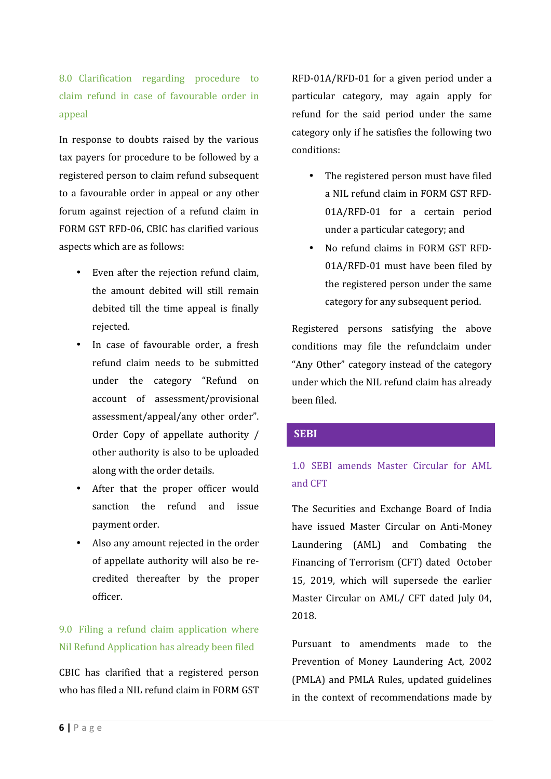8.0 Clarification regarding procedure to claim refund in case of favourable order in appeal

In response to doubts raised by the various tax payers for procedure to be followed by a registered person to claim refund subsequent to a favourable order in appeal or any other forum against rejection of a refund claim in FORM GST RFD-06, CBIC has clarified various aspects which are as follows:

- Even after the rejection refund claim, the amount debited will still remain debited till the time appeal is finally rejected.
- In case of favourable order, a fresh refund claim needs to be submitted under the category "Refund on account of assessment/provisional assessment/appeal/any other order". Order Copy of appellate authority / other authority is also to be uploaded along with the order details.
- After that the proper officer would sanction the refund and issue payment order.
- Also any amount rejected in the order of appellate authority will also be re credited thereafter by the proper officer.

### 9.0 Filing a refund claim application where Nil Refund Application has already been filed

**6 |** P a g e<br> **6 |** P a g e who has filed a NIL refund claim in FORM GST

RFD-01A/RFD-01 for a given period under a particular category, may again apply for refund for the said period under the same category only if he satisfies the following two conditions:

- The registered person must have filed a NIL refund claim in FORM GST RFD- 01A/RFD-01 for a certain period under a particular category; and
- No refund claims in FORM GST RFD- 01A/RFD-01 must have been filed by the registered person under the same category for any subsequent period.

Registered persons satisfying the above conditions may file the refundclaim under "Any Other" category instead of the category under which the NIL refund claim has already been filed.

#### **SEBI**

### 1.0 SEBI amends Master Circular for AML and CFT

The Securities and Exchange Board of India have issued Master Circular on Anti-Money Laundering (AML) and Combating the Financing of Terrorism (CFT) dated October 15, 2019, which will supersede the earlier Master Circular on AML/ CFT dated July 04, 2018.

Pursuant to amendments made to the Prevention of Money Laundering Act, 2002 (PMLA) and PMLA Rules, updated guidelines in the context of recommendations made by